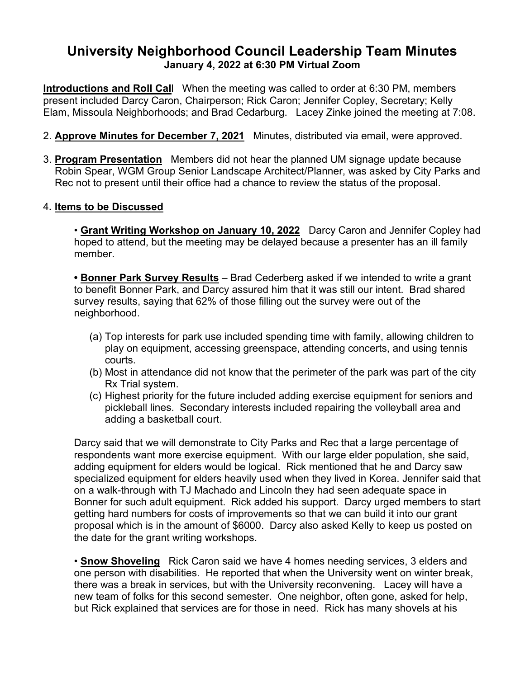## **University Neighborhood Council Leadership Team Minutes January 4, 2022 at 6:30 PM Virtual Zoom**

**Introductions and Roll Cal**l When the meeting was called to order at 6:30 PM, members present included Darcy Caron, Chairperson; Rick Caron; Jennifer Copley, Secretary; Kelly Elam, Missoula Neighborhoods; and Brad Cedarburg. Lacey Zinke joined the meeting at 7:08.

- 2. **Approve Minutes for December 7, 2021** Minutes, distributed via email, were approved.
- 3. **Program Presentation** Members did not hear the planned UM signage update because Robin Spear, WGM Group Senior Landscape Architect/Planner, was asked by City Parks and Rec not to present until their office had a chance to review the status of the proposal.

## 4**. Items to be Discussed**

• **Grant Writing Workshop on January 10, 2022** Darcy Caron and Jennifer Copley had hoped to attend, but the meeting may be delayed because a presenter has an ill family member.

**• Bonner Park Survey Results** – Brad Cederberg asked if we intended to write a grant to benefit Bonner Park, and Darcy assured him that it was still our intent. Brad shared survey results, saying that 62% of those filling out the survey were out of the neighborhood.

- (a) Top interests for park use included spending time with family, allowing children to play on equipment, accessing greenspace, attending concerts, and using tennis courts.
- (b) Most in attendance did not know that the perimeter of the park was part of the city Rx Trial system.
- (c) Highest priority for the future included adding exercise equipment for seniors and pickleball lines. Secondary interests included repairing the volleyball area and adding a basketball court.

Darcy said that we will demonstrate to City Parks and Rec that a large percentage of respondents want more exercise equipment. With our large elder population, she said, adding equipment for elders would be logical. Rick mentioned that he and Darcy saw specialized equipment for elders heavily used when they lived in Korea. Jennifer said that on a walk-through with TJ Machado and Lincoln they had seen adequate space in Bonner for such adult equipment. Rick added his support. Darcy urged members to start getting hard numbers for costs of improvements so that we can build it into our grant proposal which is in the amount of \$6000. Darcy also asked Kelly to keep us posted on the date for the grant writing workshops.

• **Snow Shoveling** Rick Caron said we have 4 homes needing services, 3 elders and one person with disabilities. He reported that when the University went on winter break, there was a break in services, but with the University reconvening. Lacey will have a new team of folks for this second semester. One neighbor, often gone, asked for help, but Rick explained that services are for those in need. Rick has many shovels at his